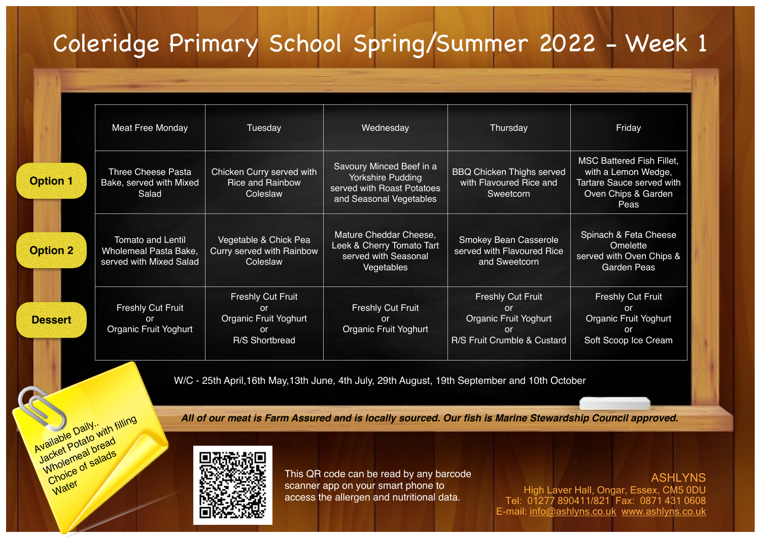## Coleridge Primary School Spring/Summer 2022 - Week 1

|                 | <b>Meat Free Monday</b>                                                      | Tuesday                                                                                    | Wednesday                                                                                              | Thursday                                                                                            | Friday                                                                                                              |  |
|-----------------|------------------------------------------------------------------------------|--------------------------------------------------------------------------------------------|--------------------------------------------------------------------------------------------------------|-----------------------------------------------------------------------------------------------------|---------------------------------------------------------------------------------------------------------------------|--|
| <b>Option 1</b> | <b>Three Cheese Pasta</b><br>Bake, served with Mixed<br>Salad                | Chicken Curry served with<br><b>Rice and Rainbow</b><br>Coleslaw                           | Savoury Minced Beef in a<br>Yorkshire Pudding<br>served with Roast Potatoes<br>and Seasonal Vegetables | <b>BBQ Chicken Thighs served</b><br>with Flavoured Rice and<br>Sweetcorn                            | <b>MSC Battered Fish Fillet,</b><br>with a Lemon Wedge,<br>Tartare Sauce served with<br>Oven Chips & Garden<br>Peas |  |
| <b>Option 2</b> | <b>Tomato and Lentil</b><br>Wholemeal Pasta Bake,<br>served with Mixed Salad | Vegetable & Chick Pea<br><b>Curry served with Rainbow</b><br>Coleslaw                      | Mature Cheddar Cheese,<br>Leek & Cherry Tomato Tart<br>served with Seasonal<br>Vegetables              | <b>Smokey Bean Casserole</b><br>served with Flavoured Rice<br>and Sweetcorn                         | Spinach & Feta Cheese<br>Omelette<br>served with Oven Chips &<br><b>Garden Peas</b>                                 |  |
| <b>Dessert</b>  | <b>Freshly Cut Fruit</b><br>or<br>Organic Fruit Yoghurt                      | Freshly Cut Fruit<br><b>or</b><br>Organic Fruit Yoghurt<br><sub>or</sub><br>R/S Shortbread | <b>Freshly Cut Fruit</b><br><b>or</b><br>Organic Fruit Yoghurt                                         | <b>Freshly Cut Fruit</b><br>or<br>Organic Fruit Yoghurt<br><b>or</b><br>R/S Fruit Crumble & Custard | <b>Freshly Cut Fruit</b><br>or<br><b>Organic Fruit Yoghurt</b><br>or<br>Soft Scoop Ice Cream                        |  |

W/C - 25th April,16th May,13th June, 4th July, 29th August, 19th September and 10th October

*All of our meat is Farm Assured and is locally sourced. Our fish is Marine Stewardship Council approved.*



Mailable Daily...<br>Available Datato with filling<br>Jacket Potato bread Vaunge Luteway Choice of salads

Water

This QR code can be read by any barcode scanner app on your smart phone to access the allergen and nutritional data.

ASHLYNS High Laver Hall, Ongar, Essex, CM5 0DU Tel: 01277 890411/821 Fax: 0871 431 0608 E-mail: [info@ashlyns.co.uk](mailto:info@ashlyns.co.uk) [www.ashlyns.co.uk](http://www.ashlyns.co.uk)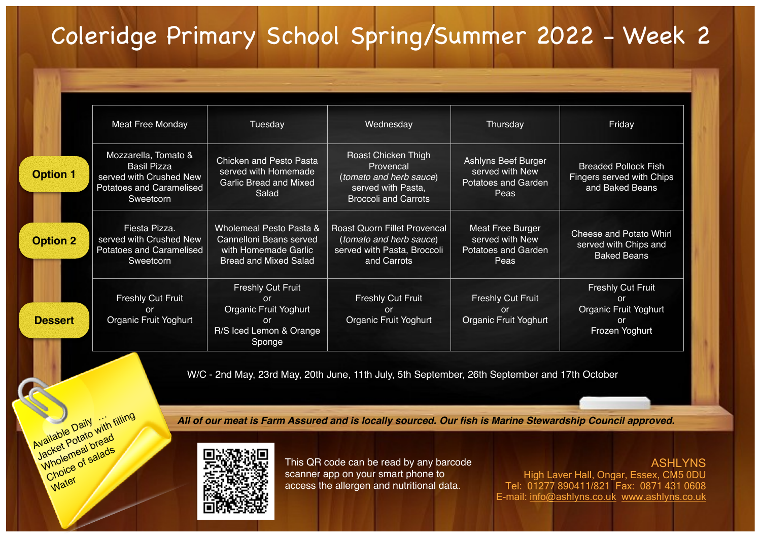## Coleridge Primary School Spring/Summer 2022 - Week 2

|                 | Meat Free Monday                                                                                                      | Tuesday                                                                                                              | Wednesday                                                                                                        | Thursday                                                                     | Friday                                                                                 |
|-----------------|-----------------------------------------------------------------------------------------------------------------------|----------------------------------------------------------------------------------------------------------------------|------------------------------------------------------------------------------------------------------------------|------------------------------------------------------------------------------|----------------------------------------------------------------------------------------|
| <b>Option 1</b> | Mozzarella, Tomato &<br><b>Basil Pizza</b><br>served with Crushed New<br><b>Potatoes and Caramelised</b><br>Sweetcorn | <b>Chicken and Pesto Pasta</b><br>served with Homemade<br><b>Garlic Bread and Mixed</b><br>Salad                     | Roast Chicken Thigh<br>Provencal<br>(tomato and herb sauce)<br>served with Pasta,<br><b>Broccoli and Carrots</b> | Ashlyns Beef Burger<br>served with New<br><b>Potatoes and Garden</b><br>Peas | <b>Breaded Pollock Fish</b><br>Fingers served with Chips<br>and Baked Beans            |
| <b>Option 2</b> | Fiesta Pizza.<br>served with Crushed New<br><b>Potatoes and Caramelised</b><br>Sweetcorn                              | Wholemeal Pesto Pasta &<br>Cannelloni Beans served<br>with Homemade Garlic<br><b>Bread and Mixed Salad</b>           | <b>Roast Quorn Fillet Provencal</b><br>(tomato and herb sauce)<br>served with Pasta, Broccoli<br>and Carrots     | Meat Free Burger<br>served with New<br><b>Potatoes and Garden</b><br>Peas    | <b>Cheese and Potato Whirl</b><br>served with Chips and<br><b>Baked Beans</b>          |
| <b>Dessert</b>  | <b>Freshly Cut Fruit</b><br><b>or</b><br><b>Organic Fruit Yoghurt</b>                                                 | <b>Freshly Cut Fruit</b><br><sub>or</sub><br>Organic Fruit Yoghurt<br><b>or</b><br>R/S Iced Lemon & Orange<br>Sponge | <b>Freshly Cut Fruit</b><br><b>or</b><br>Organic Fruit Yoghurt                                                   | <b>Freshly Cut Fruit</b><br><sub>or</sub><br>Organic Fruit Yoghurt           | <b>Freshly Cut Fruit</b><br><b>or</b><br>Organic Fruit Yoghurt<br>or<br>Frozen Yoghurt |

W/C - 2nd May, 23rd May, 20th June, 11th July, 5th September, 26th September and 17th October

*All of our meat is Farm Assured and is locally sourced. Our fish is Marine Stewardship Council approved.*



Available Daily<br>Available Datato with filling<br>Jacket Potato bread Wholemeal bread Choice of salads

Water

This QR code can be read by any barcode scanner app on your smart phone to access the allergen and nutritional data.

ASHLYNS High Laver Hall, Ongar, Essex, CM5 0DU Tel: 01277 890411/821 Fax: 0871 431 0608 E-mail: [info@ashlyns.co.uk](mailto:info@ashlyns.co.uk) [www.ashlyns.co.uk](http://www.ashlyns.co.uk)